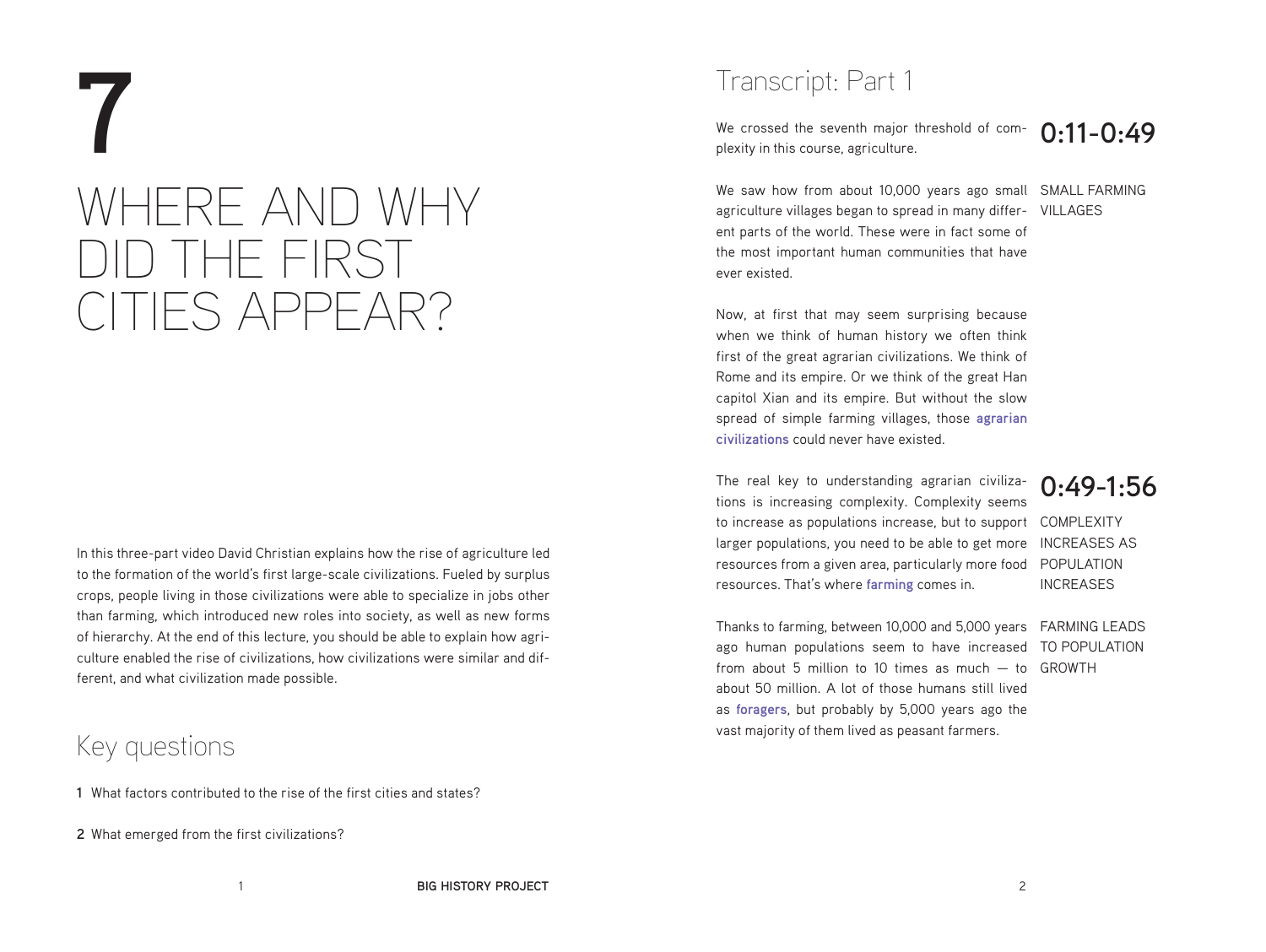# **7** WHERE AND WHY DID THE FIRST CITIES APPEAR?

In this three-part video David Christian explains how the rise of agriculture led to the formation of the world's first large-scale civilizations. Fueled by surplus crops, people living in those civilizations were able to specialize in jobs other than farming, which introduced new roles into society, as well as new forms of hierarchy. At the end of this lecture, you should be able to explain how agriculture enabled the rise of civilizations, how civilizations were similar and different, and what civilization made possible.

### Key questions

- **1** What factors contributed to the rise of the first cities and states?
- **2** What emerged from the first civilizations?

### Transcript: Part 1

**0:11-0:49** We crossed the seventh major threshold of complexity in this course, agriculture.

We saw how from about 10,000 years ago small SMALL FARMING agriculture villages began to spread in many differ- VILLAGES ent parts of the world. These were in fact some of the most important human communities that have ever existed.

Now, at first that may seem surprising because when we think of human history we often think first of the great agrarian civilizations. We think of Rome and its empire. Or we think of the great Han capitol Xian and its empire. But without the slow spread of simple farming villages, those **agrarian civilizations** could never have existed.

COMPLEXITY to increase as populations increase, but to support larger populations, you need to be able to get more INCREASES AS resources from a given area, particularly more food POPULATION The real key to understanding agrarian civilizations is increasing complexity. Complexity seems resources. That's where **farming** comes in.

### **0:49-1:56**

INCREASES

Thanks to farming, between 10,000 and 5,000 years FARMING LEADS ago human populations seem to have increased TO POPULATION from about 5 million to 10 times as much  $-$  to GROWTH about 50 million. A lot of those humans still lived as **foragers**, but probably by 5,000 years ago the vast majority of them lived as peasant farmers.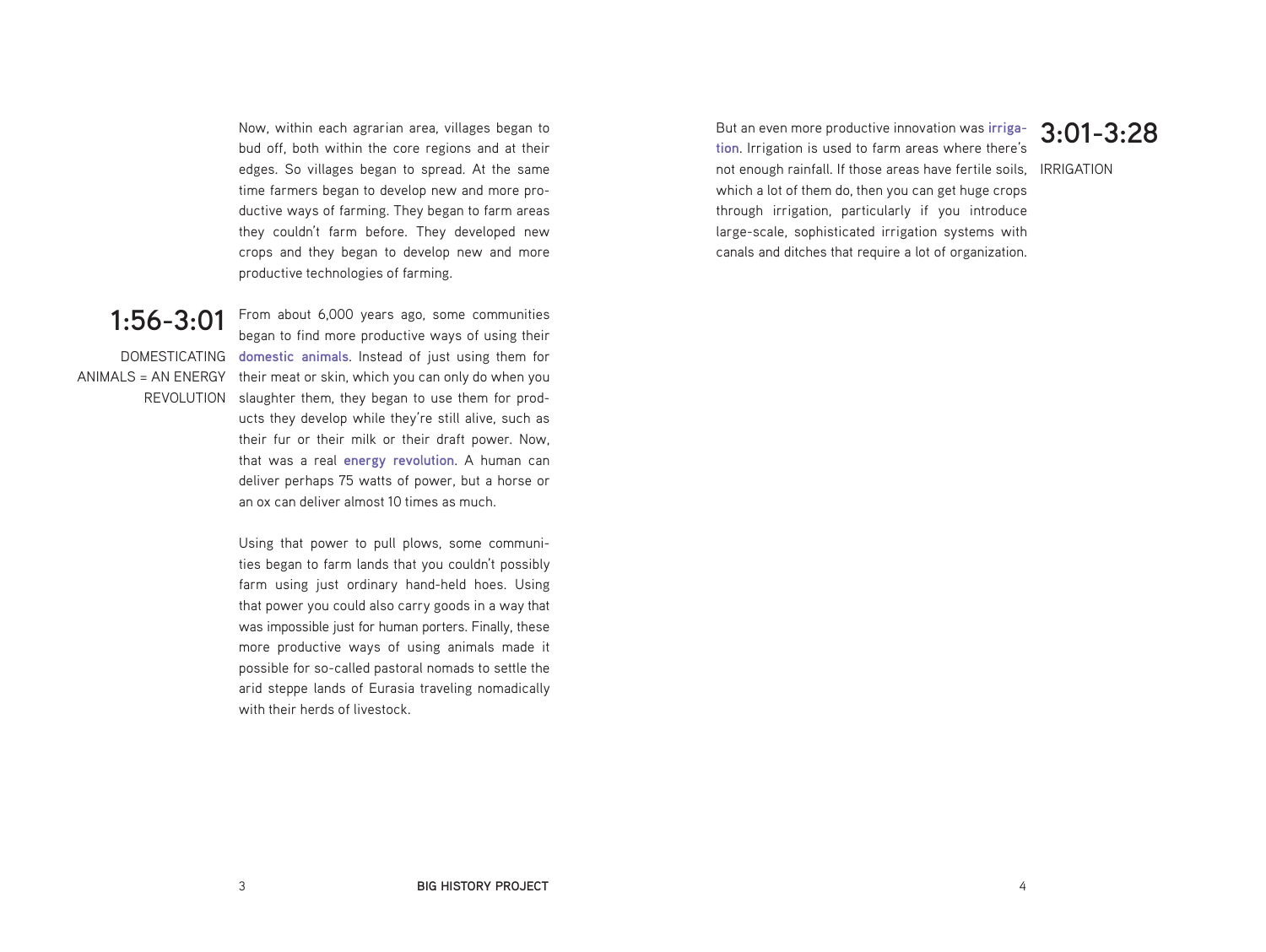Now, within each agrarian area, villages began to bud off, both within the core regions and at their edges. So villages began to spread. At the same time farmers began to develop new and more productive ways of farming. They began to farm areas they couldn't farm before. They developed new crops and they began to develop new and more productive technologies of farming.

### **1:56-3:01**

DOMESTICATING **domestic animals**. Instead of just using them for ANIMALS = AN ENERGY their meat or skin, which you can only do when you REVOLUTION slaughter them, they began to use them for prod-From about 6,000 years ago, some communities began to find more productive ways of using their ucts they develop while they're still alive, such as their fur or their milk or their draft power. Now, that was a real **energy revolution**. A human can deliver perhaps 75 watts of power, but a horse or an ox can deliver almost 10 times as much.

> Using that power to pull plows, some communities began to farm lands that you couldn't possibly farm using just ordinary hand-held hoes. Using that power you could also carry goods in a way that was impossible just for human porters. Finally, these more productive ways of using animals made it possible for so-called pastoral nomads to settle the arid steppe lands of Eurasia traveling nomadically with their herds of livestock.

not enough rainfall. If those areas have fertile soils, IRRIGATION But an even more productive innovation was **irrigation**. Irrigation is used to farm areas where there's which a lot of them do, then you can get huge crops through irrigation, particularly if you introduce large-scale, sophisticated irrigation systems with canals and ditches that require a lot of organization.

### **3:01-3:28**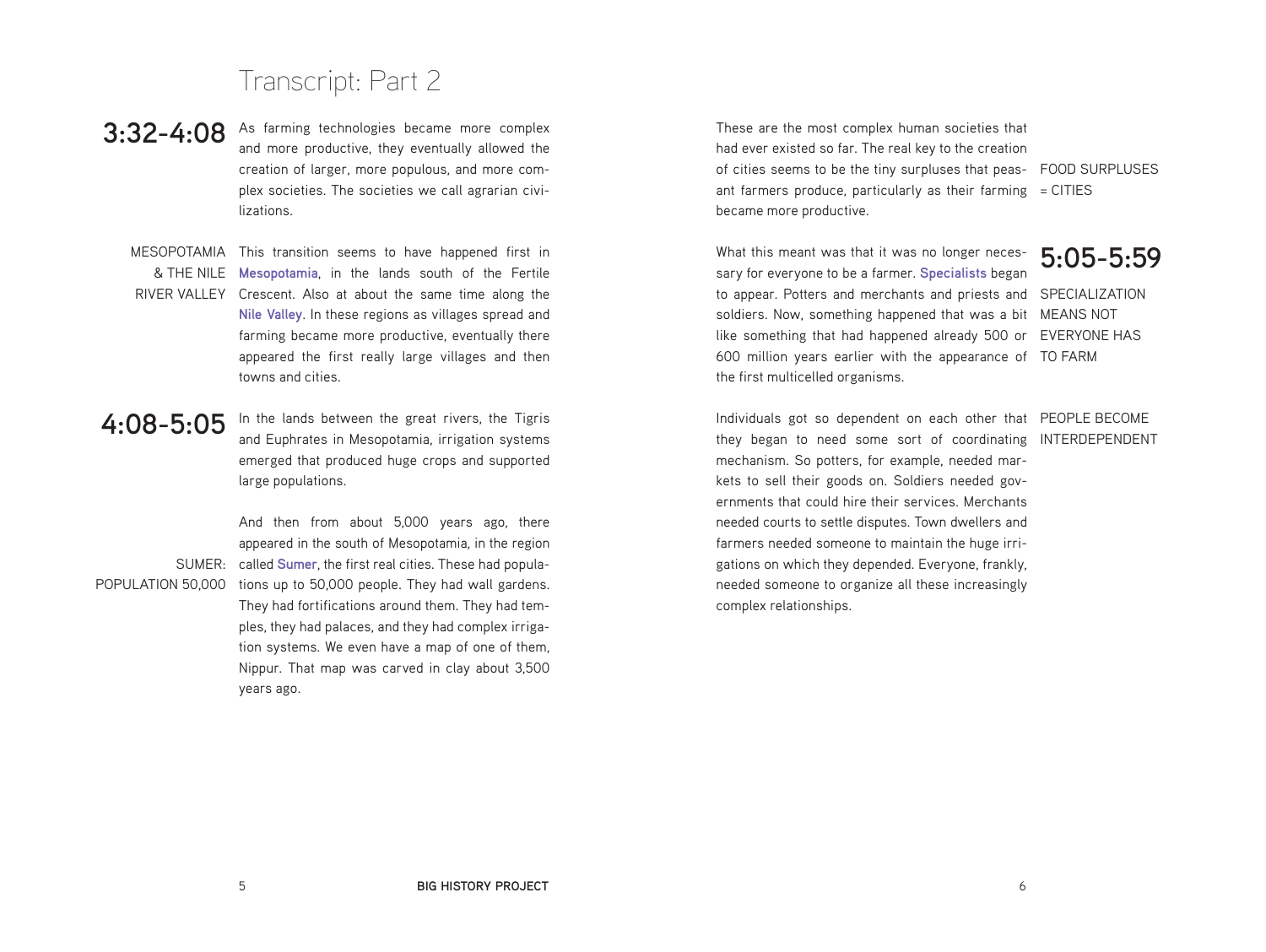### Transcript: Part 2

- **3:32-4:08** As farming technologies became more complex<br> **3:32-4:08** and more productive they eventually allowed the and more productive, they eventually allowed the creation of larger, more populous, and more complex societies. The societies we call agrarian civilizations.
	- MESOPOTAMIA This transition seems to have happened first in

& THE NILE **Mesopotamia**, in the lands south of the Fertile RIVER VALLEY Crescent. Also at about the same time along the **Nile Valley**. In these regions as villages spread and farming became more productive, eventually there appeared the first really large villages and then towns and cities.

### **4:08-5:05**

In the lands between the great rivers, the Tigris and Euphrates in Mesopotamia, irrigation systems emerged that produced huge crops and supported large populations.

SUMER: called **Sumer**, the first real cities. These had popula-POPULATION 50,000 tions up to 50,000 people. They had wall gardens. And then from about 5,000 years ago, there appeared in the south of Mesopotamia, in the region They had fortifications around them. They had temples, they had palaces, and they had complex irrigation systems. We even have a map of one of them, Nippur. That map was carved in clay about 3,500 years ago.

of cities seems to be the tiny surpluses that peas- FOOD SURPLUSES ant farmers produce, particularly as their farming  $=$  CITIES These are the most complex human societies that had ever existed so far. The real key to the creation became more productive.

**5:05-5:59** to appear. Potters and merchants and priests and SPECIALIZATION soldiers. Now, something happened that was a bit MEANS NOT like something that had happened already 500 or EVERYONE HAS 600 million years earlier with the appearance of TO FARM What this meant was that it was no longer necessary for everyone to be a farmer. **Specialists** began the first multicelled organisms.

Individuals got so dependent on each other that PEOPLE BECOME they began to need some sort of coordinating INTERDEPENDENT mechanism. So potters, for example, needed markets to sell their goods on. Soldiers needed governments that could hire their services. Merchants needed courts to settle disputes. Town dwellers and farmers needed someone to maintain the huge irrigations on which they depended. Everyone, frankly, needed someone to organize all these increasingly complex relationships.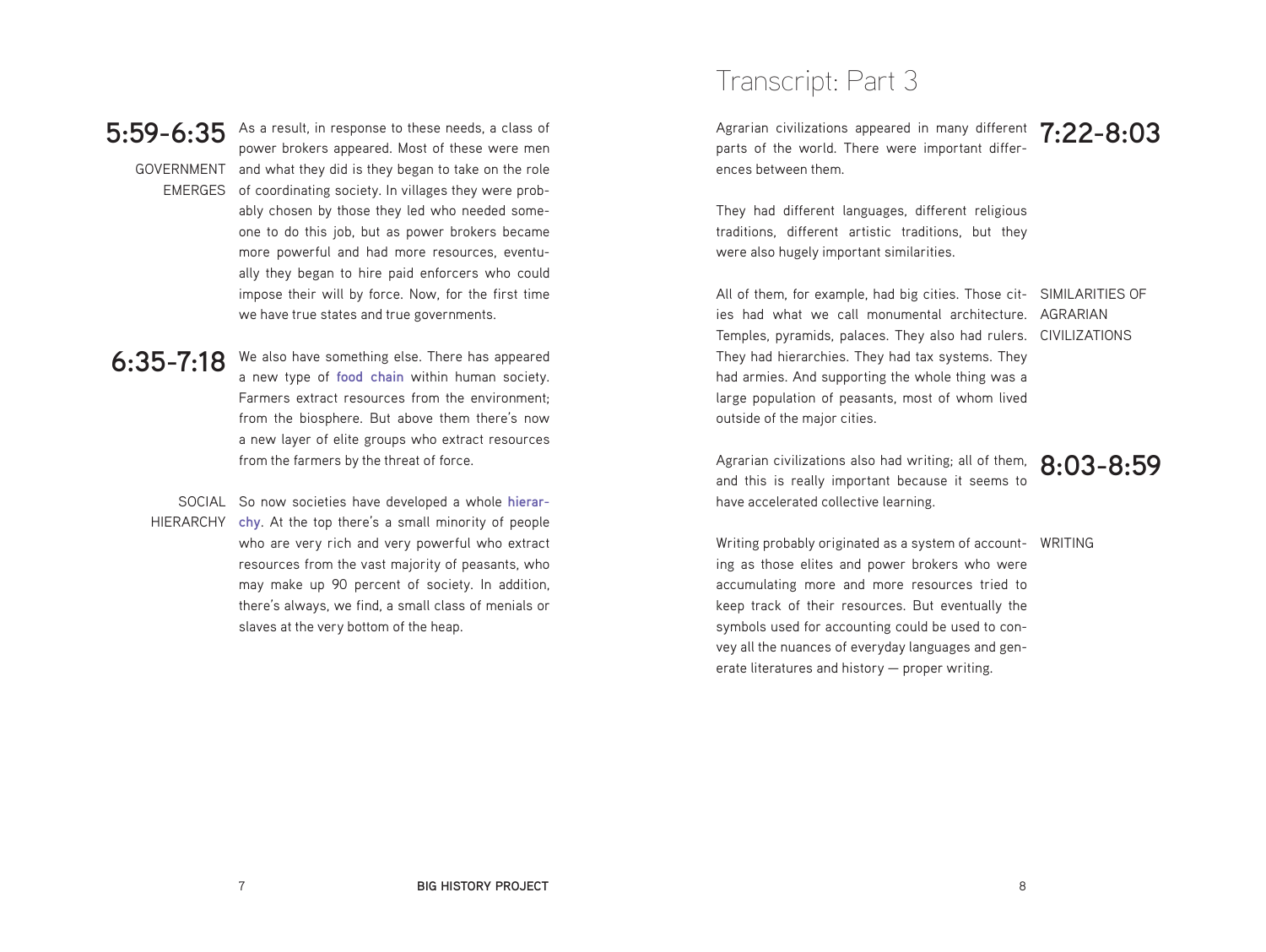

**5:59-6:35** As a result, in response to these needs, a class of GOVERNMENT and what they did is they began to take on the role EMERGES of coordinating society. In villages they were probpower brokers appeared. Most of these were men ably chosen by those they led who needed someone to do this job, but as power brokers became more powerful and had more resources, eventually they began to hire paid enforcers who could impose their will by force. Now, for the first time we have true states and true governments.

**6:35-7:18** We also have something else. There has appeared a new type of **food chain** within human society. Farmers extract resources from the environment; from the biosphere. But above them there's now a new layer of elite groups who extract resources

from the farmers by the threat of force.

SOCIAL So now societies have developed a whole **hierar-**HIERARCHY **chy**. At the top there's a small minority of people who are very rich and very powerful who extract resources from the vast majority of peasants, who may make up 90 percent of society. In addition, there's always, we find, a small class of menials or slaves at the very bottom of the heap.

### Transcript: Part 3

Agrarian civilizations appeared in many different 7:22-8:03 parts of the world. There were important differences between them.

They had different languages, different religious traditions, different artistic traditions, but they were also hugely important similarities.

All of them, for example, had big cities. Those cit- SIMILARITIES OF ies had what we call monumental architecture. AGRARIAN Temples, pyramids, palaces. They also had rulers. CIVILIZATIONS They had hierarchies. They had tax systems. They had armies. And supporting the whole thing was a large population of peasants, most of whom lived outside of the major cities.

Agrarian civilizations also had writing; all of them, and this is really important because it seems to have accelerated collective learning.

**8:03-8:59**

Writing probably originated as a system of account- WRITING ing as those elites and power brokers who were accumulating more and more resources tried to keep track of their resources. But eventually the symbols used for accounting could be used to convey all the nuances of everyday languages and generate literatures and history — proper writing.